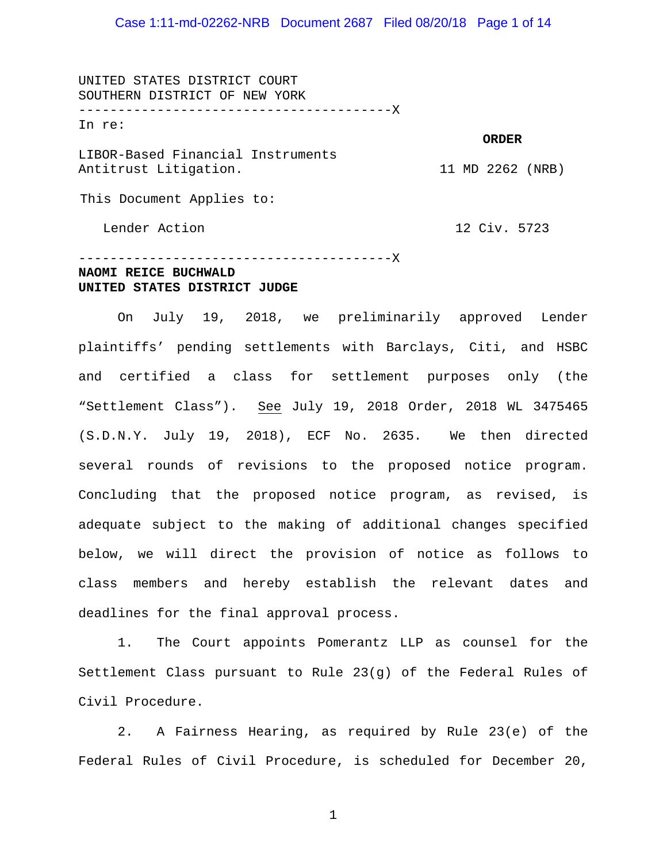Case 1:11-md-02262-NRB Document 2687 Filed 08/20/18 Page 1 of 14

UNITED STATES DISTRICT COURT SOUTHERN DISTRICT OF NEW YORK ----------------------------------------X In re: LIBOR-Based Financial Instruments Antitrust Litigation. This Document Applies to: **ORDER** 11 MD 2262 (NRB)

Lender Action

12 Civ. 5723

### ----------------------------------------X **NAOMI REICE BUCHWALD UNITED STATES DISTRICT JUDGE**

On July 19, 2018, we preliminarily approved Lender plaintiffs' pending settlements with Barclays, Citi, and HSBC and certified a class for settlement purposes only (the "Settlement Class"). See July 19, 2018 Order, 2018 WL 3475465 (S.D.N.Y. July 19, 2018), ECF No. 2635. We then directed several rounds of revisions to the proposed notice program. Concluding that the proposed notice program, as revised, is adequate subject to the making of additional changes specified below, we will direct the provision of notice as follows to class members and hereby establish the relevant dates and deadlines for the final approval process.

1. The Court appoints Pomerantz LLP as counsel for the Settlement Class pursuant to Rule 23(g) of the Federal Rules of Civil Procedure.

2. A Fairness Hearing, as required by Rule 23(e) of the Federal Rules of Civil Procedure, is scheduled for December 20,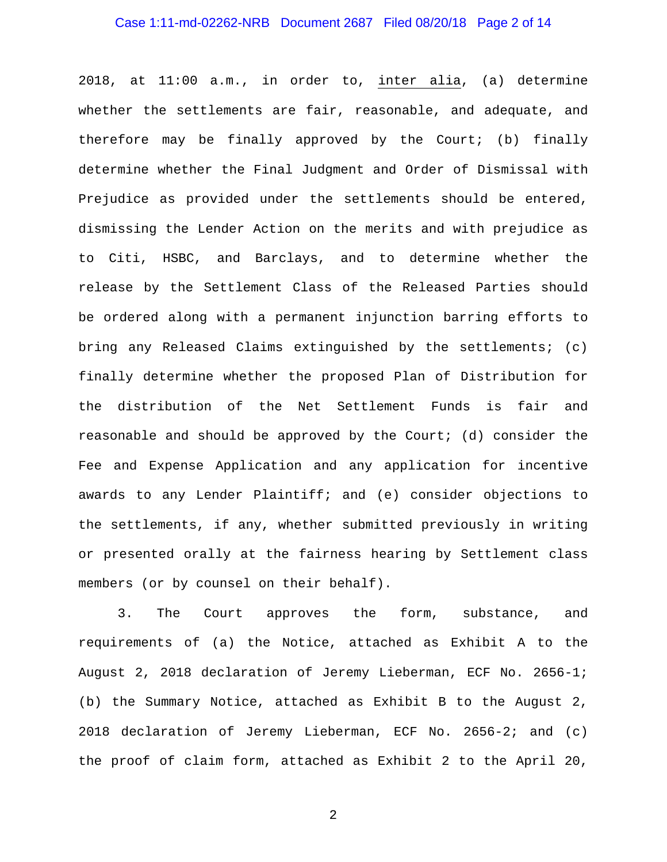### Case 1:11-md-02262-NRB Document 2687 Filed 08/20/18 Page 2 of 14

2018, at 11:00 a.m., in order to, inter alia, (a) determine whether the settlements are fair, reasonable, and adequate, and therefore may be finally approved by the Court; (b) finally determine whether the Final Judgment and Order of Dismissal with Prejudice as provided under the settlements should be entered, dismissing the Lender Action on the merits and with prejudice as to Citi, HSBC, and Barclays, and to determine whether the release by the Settlement Class of the Released Parties should be ordered along with a permanent injunction barring efforts to bring any Released Claims extinguished by the settlements; (c) finally determine whether the proposed Plan of Distribution for the distribution of the Net Settlement Funds is fair and reasonable and should be approved by the Court; (d) consider the Fee and Expense Application and any application for incentive awards to any Lender Plaintiff; and (e) consider objections to the settlements, if any, whether submitted previously in writing or presented orally at the fairness hearing by Settlement class members (or by counsel on their behalf).

3. The Court approves the form, substance, and requirements of (a) the Notice, attached as Exhibit A to the August 2, 2018 declaration of Jeremy Lieberman, ECF No. 2656-1; (b) the Summary Notice, attached as Exhibit B to the August 2, 2018 declaration of Jeremy Lieberman, ECF No. 2656-2; and (c) the proof of claim form, attached as Exhibit 2 to the April 20,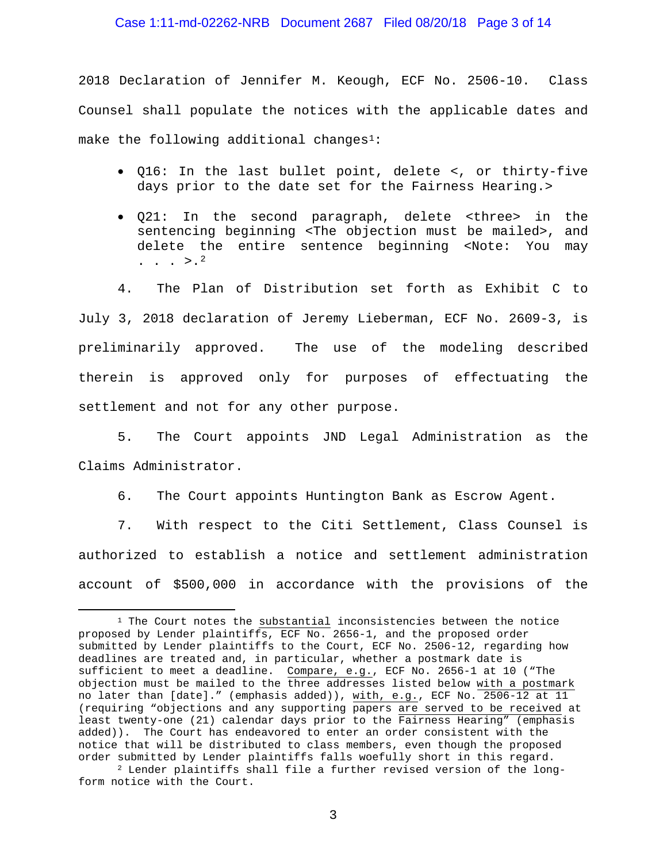### Case 1:11-md-02262-NRB Document 2687 Filed 08/20/18 Page 3 of 14

2018 Declaration of Jennifer M. Keough, ECF No. 2506-10. Class Counsel shall populate the notices with the applicable dates and make the following additional changes<sup>[1:](#page-2-0)</sup>

- Q16: In the last bullet point, delete <, or thirty-five days prior to the date set for the Fairness Hearing.>
- Q21: In the second paragraph, delete <three> in the sentencing beginning <The objection must be mailed>, and delete the entire sentence beginning <Note: You may  $\cdot$  . .  $>$ .<sup>[2](#page-2-1)</sup>

4. The Plan of Distribution set forth as Exhibit C to July 3, 2018 declaration of Jeremy Lieberman, ECF No. 2609-3, is preliminarily approved. The use of the modeling described therein is approved only for purposes of effectuating the settlement and not for any other purpose.

5. The Court appoints JND Legal Administration as the Claims Administrator.

6. The Court appoints Huntington Bank as Escrow Agent.

7. With respect to the Citi Settlement, Class Counsel is authorized to establish a notice and settlement administration account of \$500,000 in accordance with the provisions of the

 $\overline{a}$ 

<span id="page-2-0"></span><sup>&</sup>lt;sup>1</sup> The Court notes the substantial inconsistencies between the notice proposed by Lender plaintiffs, ECF No. 2656-1, and the proposed order submitted by Lender plaintiffs to the Court, ECF No. 2506-12, regarding how deadlines are treated and, in particular, whether a postmark date is sufficient to meet a deadline. Compare, e.g., ECF No. 2656-1 at 10 ("The objection must be mailed to the three addresses listed below with a postmark no later than [date]." (emphasis added)), with, e.g., ECF No. 2506-12 at 11 (requiring "objections and any supporting papers are served to be received at least twenty-one (21) calendar days prior to the Fairness Hearing" (emphasis added)). The Court has endeavored to enter an order consistent with the notice that will be distributed to class members, even though the proposed order submitted by Lender plaintiffs falls woefully short in this regard.

<span id="page-2-1"></span><sup>2</sup> Lender plaintiffs shall file a further revised version of the longform notice with the Court.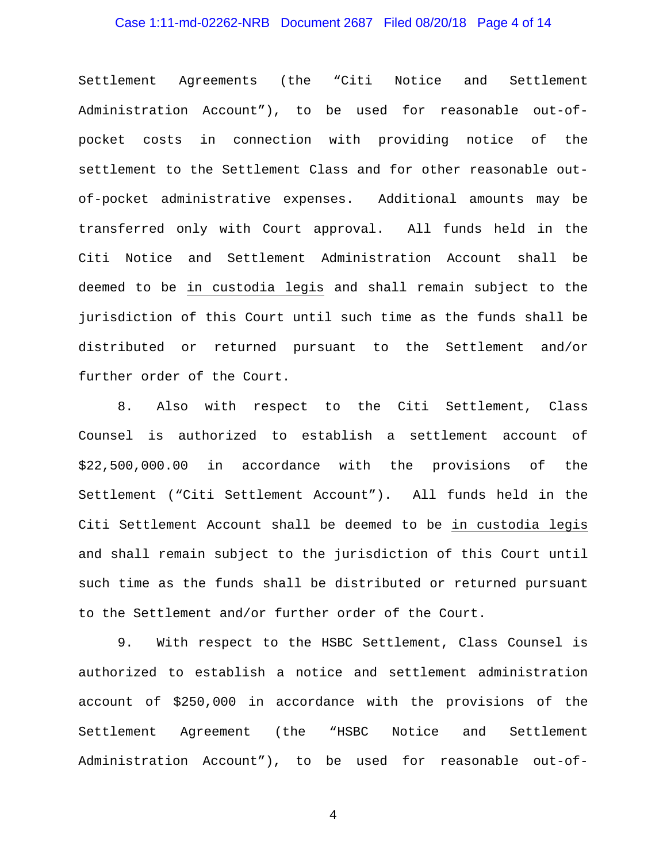# Case 1:11-md-02262-NRB Document 2687 Filed 08/20/18 Page 4 of 14

Settlement Agreements (the "Citi Notice and Settlement Administration Account"), to be used for reasonable out-ofpocket costs in connection with providing notice of the settlement to the Settlement Class and for other reasonable outof-pocket administrative expenses. Additional amounts may be transferred only with Court approval. All funds held in the Citi Notice and Settlement Administration Account shall be deemed to be in custodia legis and shall remain subject to the jurisdiction of this Court until such time as the funds shall be distributed or returned pursuant to the Settlement and/or further order of the Court.

8. Also with respect to the Citi Settlement, Class Counsel is authorized to establish a settlement account of \$22,500,000.00 in accordance with the provisions of the Settlement ("Citi Settlement Account"). All funds held in the Citi Settlement Account shall be deemed to be in custodia legis and shall remain subject to the jurisdiction of this Court until such time as the funds shall be distributed or returned pursuant to the Settlement and/or further order of the Court.

9. With respect to the HSBC Settlement, Class Counsel is authorized to establish a notice and settlement administration account of \$250,000 in accordance with the provisions of the Settlement Agreement (the "HSBC Notice and Settlement Administration Account"), to be used for reasonable out-of-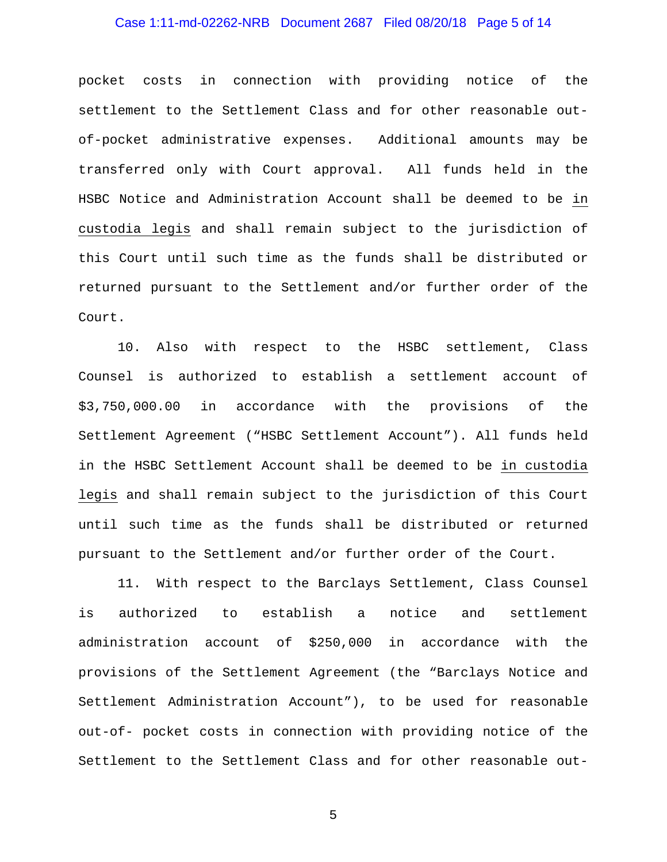# Case 1:11-md-02262-NRB Document 2687 Filed 08/20/18 Page 5 of 14

pocket costs in connection with providing notice of the settlement to the Settlement Class and for other reasonable outof-pocket administrative expenses. Additional amounts may be transferred only with Court approval. All funds held in the HSBC Notice and Administration Account shall be deemed to be in custodia legis and shall remain subject to the jurisdiction of this Court until such time as the funds shall be distributed or returned pursuant to the Settlement and/or further order of the Court.

10. Also with respect to the HSBC settlement, Class Counsel is authorized to establish a settlement account of \$3,750,000.00 in accordance with the provisions of the Settlement Agreement ("HSBC Settlement Account"). All funds held in the HSBC Settlement Account shall be deemed to be in custodia legis and shall remain subject to the jurisdiction of this Court until such time as the funds shall be distributed or returned pursuant to the Settlement and/or further order of the Court.

11. With respect to the Barclays Settlement, Class Counsel is authorized to establish a notice and settlement administration account of \$250,000 in accordance with the provisions of the Settlement Agreement (the "Barclays Notice and Settlement Administration Account"), to be used for reasonable out-of- pocket costs in connection with providing notice of the Settlement to the Settlement Class and for other reasonable out-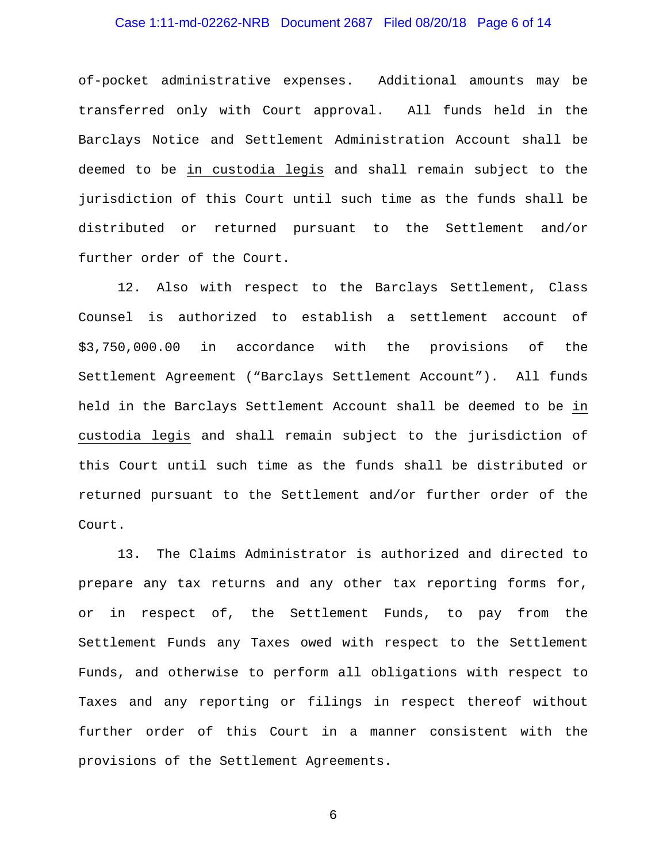### Case 1:11-md-02262-NRB Document 2687 Filed 08/20/18 Page 6 of 14

of-pocket administrative expenses. Additional amounts may be transferred only with Court approval. All funds held in the Barclays Notice and Settlement Administration Account shall be deemed to be in custodia legis and shall remain subject to the jurisdiction of this Court until such time as the funds shall be distributed or returned pursuant to the Settlement and/or further order of the Court.

12. Also with respect to the Barclays Settlement, Class Counsel is authorized to establish a settlement account of \$3,750,000.00 in accordance with the provisions of the Settlement Agreement ("Barclays Settlement Account"). All funds held in the Barclays Settlement Account shall be deemed to be in custodia legis and shall remain subject to the jurisdiction of this Court until such time as the funds shall be distributed or returned pursuant to the Settlement and/or further order of the Court.

13. The Claims Administrator is authorized and directed to prepare any tax returns and any other tax reporting forms for, or in respect of, the Settlement Funds, to pay from the Settlement Funds any Taxes owed with respect to the Settlement Funds, and otherwise to perform all obligations with respect to Taxes and any reporting or filings in respect thereof without further order of this Court in a manner consistent with the provisions of the Settlement Agreements.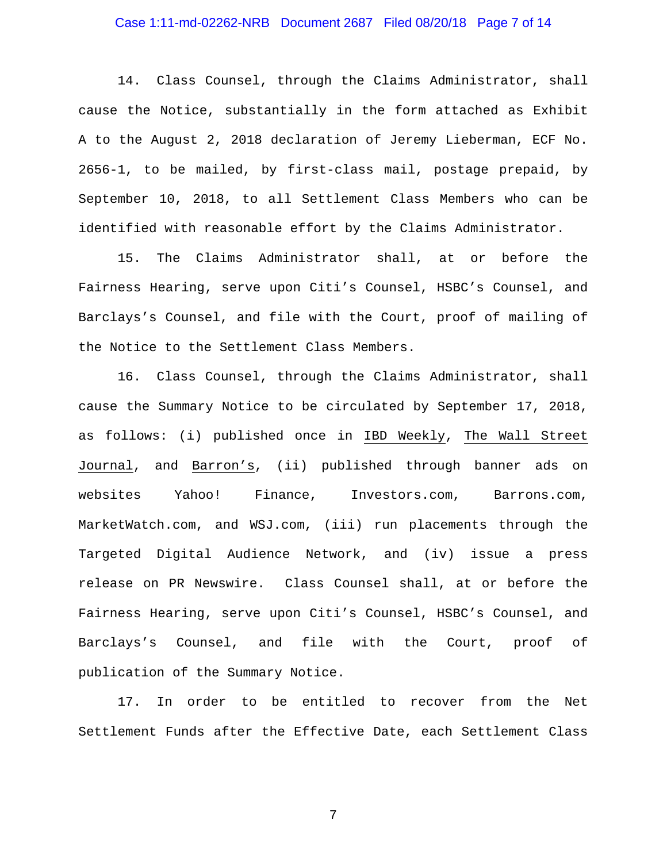# Case 1:11-md-02262-NRB Document 2687 Filed 08/20/18 Page 7 of 14

14. Class Counsel, through the Claims Administrator, shall cause the Notice, substantially in the form attached as Exhibit A to the August 2, 2018 declaration of Jeremy Lieberman, ECF No. 2656-1, to be mailed, by first-class mail, postage prepaid, by September 10, 2018, to all Settlement Class Members who can be identified with reasonable effort by the Claims Administrator.

15. The Claims Administrator shall, at or before the Fairness Hearing, serve upon Citi's Counsel, HSBC's Counsel, and Barclays's Counsel, and file with the Court, proof of mailing of the Notice to the Settlement Class Members.

16. Class Counsel, through the Claims Administrator, shall cause the Summary Notice to be circulated by September 17, 2018, as follows: (i) published once in IBD Weekly, The Wall Street Journal, and Barron's, (ii) published through banner ads on websites Yahoo! Finance, Investors.com, Barrons.com, MarketWatch.com, and WSJ.com, (iii) run placements through the Targeted Digital Audience Network, and (iv) issue a press release on PR Newswire. Class Counsel shall, at or before the Fairness Hearing, serve upon Citi's Counsel, HSBC's Counsel, and Barclays's Counsel, and file with the Court, proof of publication of the Summary Notice.

17. In order to be entitled to recover from the Net Settlement Funds after the Effective Date, each Settlement Class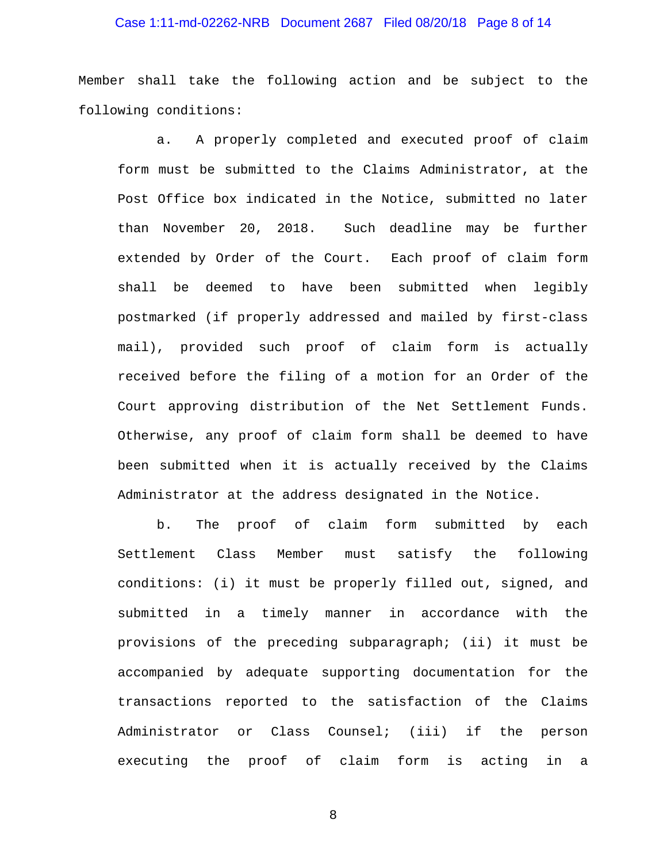### Case 1:11-md-02262-NRB Document 2687 Filed 08/20/18 Page 8 of 14

Member shall take the following action and be subject to the following conditions:

a. A properly completed and executed proof of claim form must be submitted to the Claims Administrator, at the Post Office box indicated in the Notice, submitted no later than November 20, 2018. Such deadline may be further extended by Order of the Court. Each proof of claim form shall be deemed to have been submitted when legibly postmarked (if properly addressed and mailed by first-class mail), provided such proof of claim form is actually received before the filing of a motion for an Order of the Court approving distribution of the Net Settlement Funds. Otherwise, any proof of claim form shall be deemed to have been submitted when it is actually received by the Claims Administrator at the address designated in the Notice.

b. The proof of claim form submitted by each Settlement Class Member must satisfy the following conditions: (i) it must be properly filled out, signed, and submitted in a timely manner in accordance with the provisions of the preceding subparagraph; (ii) it must be accompanied by adequate supporting documentation for the transactions reported to the satisfaction of the Claims Administrator or Class Counsel; (iii) if the person executing the proof of claim form is acting in a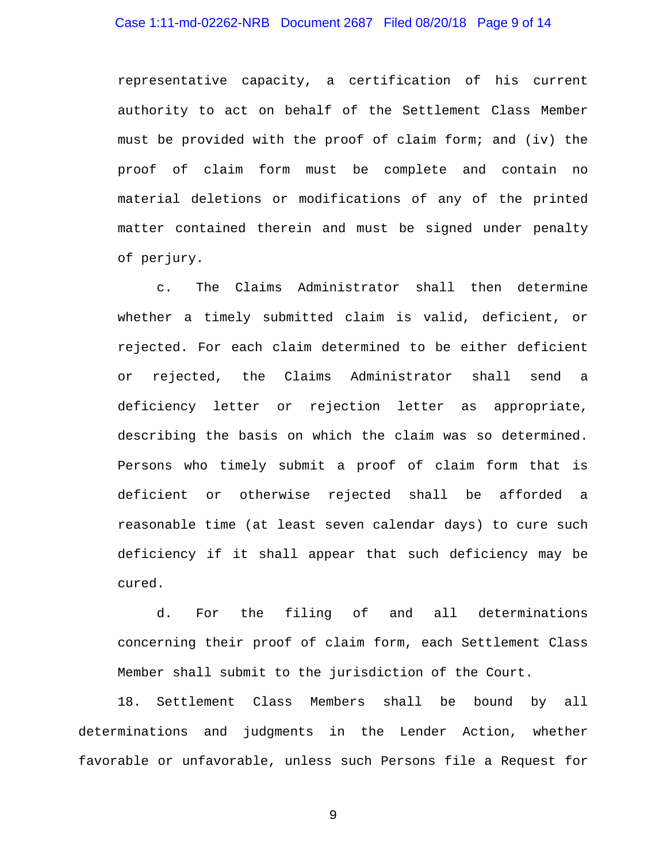### Case 1:11-md-02262-NRB Document 2687 Filed 08/20/18 Page 9 of 14

representative capacity, a certification of his current authority to act on behalf of the Settlement Class Member must be provided with the proof of claim form; and (iv) the proof of claim form must be complete and contain no material deletions or modifications of any of the printed matter contained therein and must be signed under penalty of perjury.

c. The Claims Administrator shall then determine whether a timely submitted claim is valid, deficient, or rejected. For each claim determined to be either deficient or rejected, the Claims Administrator shall send a deficiency letter or rejection letter as appropriate, describing the basis on which the claim was so determined. Persons who timely submit a proof of claim form that is deficient or otherwise rejected shall be afforded a reasonable time (at least seven calendar days) to cure such deficiency if it shall appear that such deficiency may be cured.

d. For the filing of and all determinations concerning their proof of claim form, each Settlement Class Member shall submit to the jurisdiction of the Court.

18. Settlement Class Members shall be bound by all determinations and judgments in the Lender Action, whether favorable or unfavorable, unless such Persons file a Request for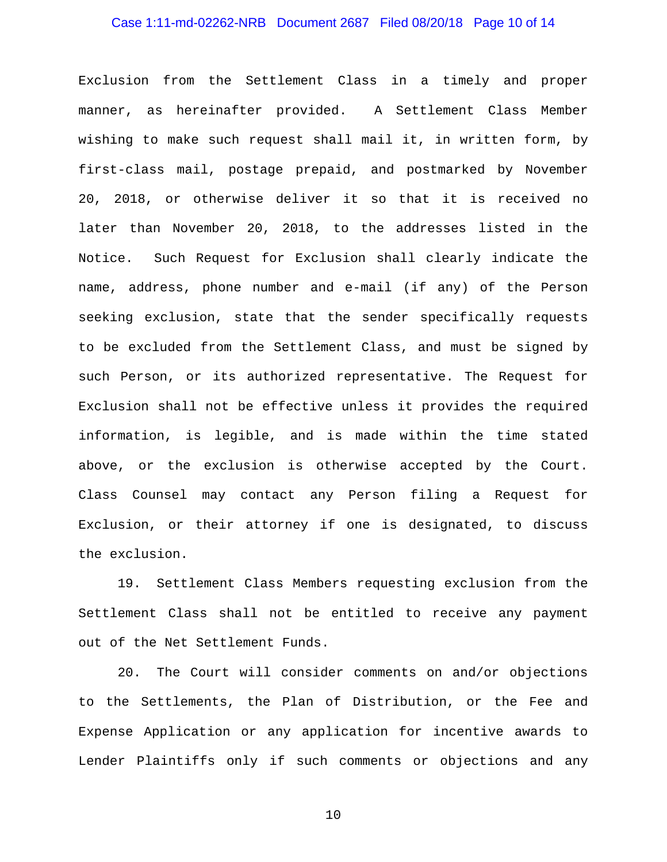### Case 1:11-md-02262-NRB Document 2687 Filed 08/20/18 Page 10 of 14

Exclusion from the Settlement Class in a timely and proper manner, as hereinafter provided. A Settlement Class Member wishing to make such request shall mail it, in written form, by first-class mail, postage prepaid, and postmarked by November 20, 2018, or otherwise deliver it so that it is received no later than November 20, 2018, to the addresses listed in the Notice. Such Request for Exclusion shall clearly indicate the name, address, phone number and e-mail (if any) of the Person seeking exclusion, state that the sender specifically requests to be excluded from the Settlement Class, and must be signed by such Person, or its authorized representative. The Request for Exclusion shall not be effective unless it provides the required information, is legible, and is made within the time stated above, or the exclusion is otherwise accepted by the Court. Class Counsel may contact any Person filing a Request for Exclusion, or their attorney if one is designated, to discuss the exclusion.

19. Settlement Class Members requesting exclusion from the Settlement Class shall not be entitled to receive any payment out of the Net Settlement Funds.

20. The Court will consider comments on and/or objections to the Settlements, the Plan of Distribution, or the Fee and Expense Application or any application for incentive awards to Lender Plaintiffs only if such comments or objections and any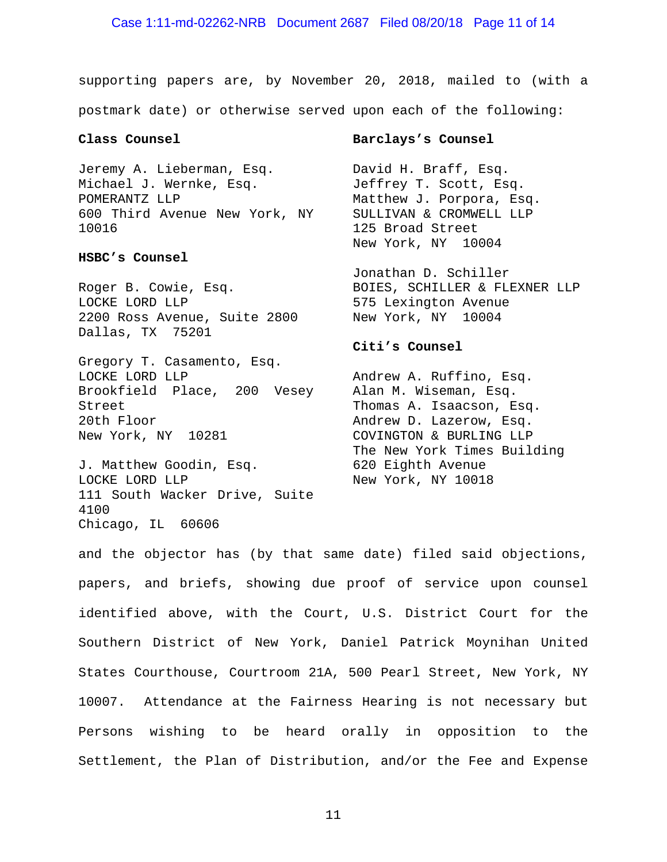supporting papers are, by November 20, 2018, mailed to (with a postmark date) or otherwise served upon each of the following:

### **Class Counsel**

Jeremy A. Lieberman, Esq. Michael J. Wernke, Esq. POMERANTZ LLP 600 Third Avenue New York, NY 10016

#### **HSBC's Counsel**

Roger B. Cowie, Esq. LOCKE LORD LLP 2200 Ross Avenue, Suite 2800 New York, NY 10004 Dallas, TX 75201

Gregory T. Casamento, Esq. LOCKE LORD LLP Brookfield Place, 200 Vesey Street 20th Floor New York, NY 10281

J. Matthew Goodin, Esq. LOCKE LORD LLP 111 South Wacker Drive, Suite 4100 Chicago, IL 60606

#### **Barclays's Counsel**

David H. Braff, Esq. Jeffrey T. Scott, Esq. Matthew J. Porpora, Esq. SULLIVAN & CROMWELL LLP 125 Broad Street New York, NY 10004

Jonathan D. Schiller BOIES, SCHILLER & FLEXNER LLP 575 Lexington Avenue

### **Citi's Counsel**

Andrew A. Ruffino, Esq. Alan M. Wiseman, Esq. Thomas A. Isaacson, Esq. Andrew D. Lazerow, Esq. COVINGTON & BURLING LLP The New York Times Building 620 Eighth Avenue New York, NY 10018

and the objector has (by that same date) filed said objections, papers, and briefs, showing due proof of service upon counsel identified above, with the Court, U.S. District Court for the Southern District of New York, Daniel Patrick Moynihan United States Courthouse, Courtroom 21A, 500 Pearl Street, New York, NY 10007. Attendance at the Fairness Hearing is not necessary but Persons wishing to be heard orally in opposition to the Settlement, the Plan of Distribution, and/or the Fee and Expense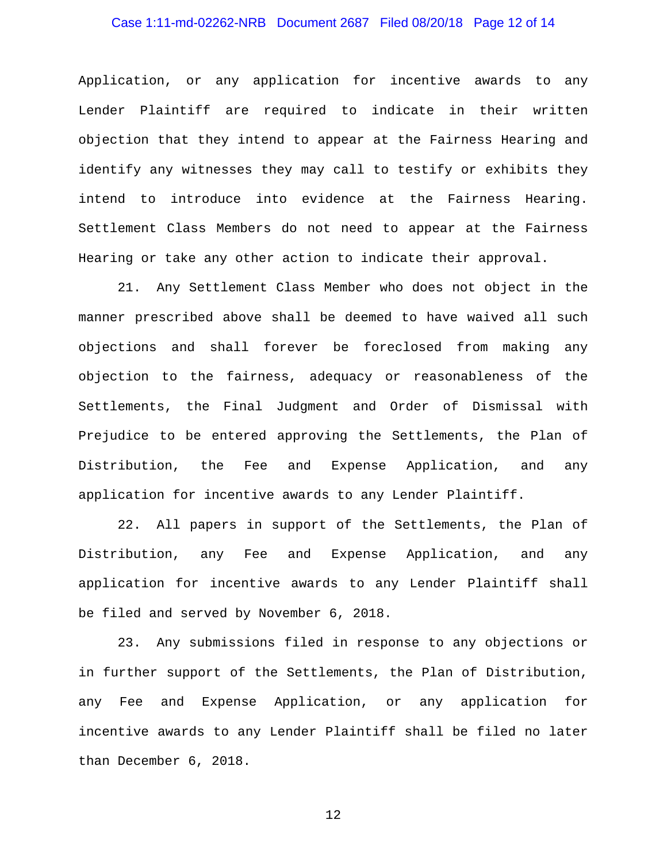# Case 1:11-md-02262-NRB Document 2687 Filed 08/20/18 Page 12 of 14

Application, or any application for incentive awards to any Lender Plaintiff are required to indicate in their written objection that they intend to appear at the Fairness Hearing and identify any witnesses they may call to testify or exhibits they intend to introduce into evidence at the Fairness Hearing. Settlement Class Members do not need to appear at the Fairness Hearing or take any other action to indicate their approval.

21. Any Settlement Class Member who does not object in the manner prescribed above shall be deemed to have waived all such objections and shall forever be foreclosed from making any objection to the fairness, adequacy or reasonableness of the Settlements, the Final Judgment and Order of Dismissal with Prejudice to be entered approving the Settlements, the Plan of Distribution, the Fee and Expense Application, and any application for incentive awards to any Lender Plaintiff.

22. All papers in support of the Settlements, the Plan of Distribution, any Fee and Expense Application, and any application for incentive awards to any Lender Plaintiff shall be filed and served by November 6, 2018.

23. Any submissions filed in response to any objections or in further support of the Settlements, the Plan of Distribution, any Fee and Expense Application, or any application for incentive awards to any Lender Plaintiff shall be filed no later than December 6, 2018.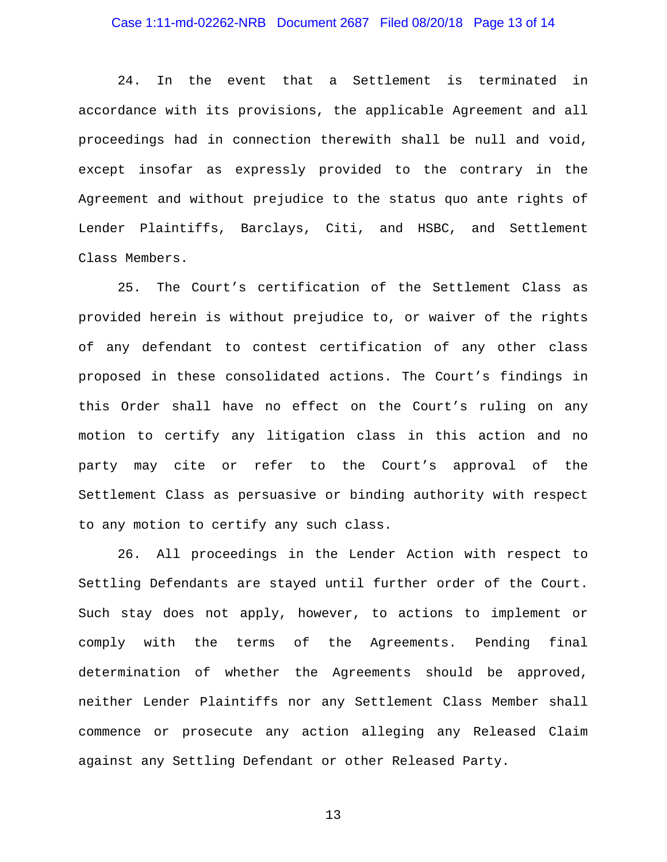### Case 1:11-md-02262-NRB Document 2687 Filed 08/20/18 Page 13 of 14

24. In the event that a Settlement is terminated in accordance with its provisions, the applicable Agreement and all proceedings had in connection therewith shall be null and void, except insofar as expressly provided to the contrary in the Agreement and without prejudice to the status quo ante rights of Lender Plaintiffs, Barclays, Citi, and HSBC, and Settlement Class Members.

25. The Court's certification of the Settlement Class as provided herein is without prejudice to, or waiver of the rights of any defendant to contest certification of any other class proposed in these consolidated actions. The Court's findings in this Order shall have no effect on the Court's ruling on any motion to certify any litigation class in this action and no party may cite or refer to the Court's approval of the Settlement Class as persuasive or binding authority with respect to any motion to certify any such class.

26. All proceedings in the Lender Action with respect to Settling Defendants are stayed until further order of the Court. Such stay does not apply, however, to actions to implement or comply with the terms of the Agreements. Pending final determination of whether the Agreements should be approved, neither Lender Plaintiffs nor any Settlement Class Member shall commence or prosecute any action alleging any Released Claim against any Settling Defendant or other Released Party.